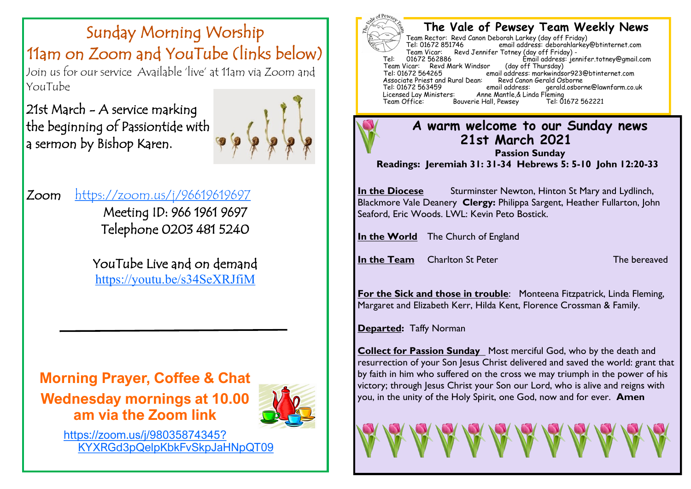# Sunday Morning Worship 11am on Zoom and YouTube (links below)

Join us for our service Available 'live' at 11am via Zoom and YouTube

21st March - A service marking the beginning of Passiontide with a sermon by Bishop Karen.



### Zoom <https://zoom.us/j/96619619697>

Meeting ID: 966 1961 9697 Telephone 0203 481 5240

YouTube Live and on demand <https://youtu.be/s34SeXRJfiM>

**Morning Prayer, Coffee & Chat Wednesday mornings at 10.00 am via the Zoom link** 



[https://zoom.us/j/98035874345?](https://zoom.us/j/98035874345?pwd=dnVKYXRGd3pQelpKbkFvSkpJaHNpQT09) [KYXRGd3pQelpKbkFvSkpJaHNpQT09](https://zoom.us/j/98035874345?pwd=dnVKYXRGd3pQelpKbkFvSkpJaHNpQT09)



### **The Vale of Pewsey Team Weekly News**

Team Rector: Revd Canon Deborah Larkey (day off Friday) email address: deborahlarkey@btinternet.com Team Vicar: Revd Jennifer Totney (day off Friday) -<br>01672 562886 Fmail address: ier fimail address: jennifer.totney@gmail.com (day off Thursday) Team Vicar: Revd Mark Windsor<br>Tel: 01672 564265 email address: markwindsor923@btinternet.com<br>Revd Canon Gerald Osborne Associate Priest and Rural Dean: Revd Canon<br>Tel: 01672 563459 email address: Tel: 01672 563459 email address: gerald.osborne@lawnfarm.co.uk Licensed Lay Ministers: Anne Mantle,& Linda Fleming Bouverie Hall, Pewsey

### **A warm welcome to our Sunday news 21st March 2021**

**Passion Sunday Readings: Jeremiah 31: 31-34 Hebrews 5: 5-10 John 12:20-33**

**In the Diocese** Sturminster Newton, Hinton St Mary and Lydlinch, Blackmore Vale Deanery **Clergy:** Philippa Sargent, Heather Fullarton, John Seaford, Eric Woods. LWL: Kevin Peto Bostick.

**In the World** The Church of England

**In the Team** Charlton St Peter The bereaved

**For the Sick and those in trouble:** Monteena Fitzpatrick, Linda Fleming, Margaret and Elizabeth Kerr, Hilda Kent, Florence Crossman & Family.

**Departed:** Taffy Norman

**Collect for Passion Sunday** Most merciful God, who by the death and resurrection of your Son Jesus Christ delivered and saved the world: grant that by faith in him who suffered on the cross we may triumph in the power of his victory; through Jesus Christ your Son our Lord, who is alive and reigns with you, in the unity of the Holy Spirit, one God, now and for ever. **Amen**